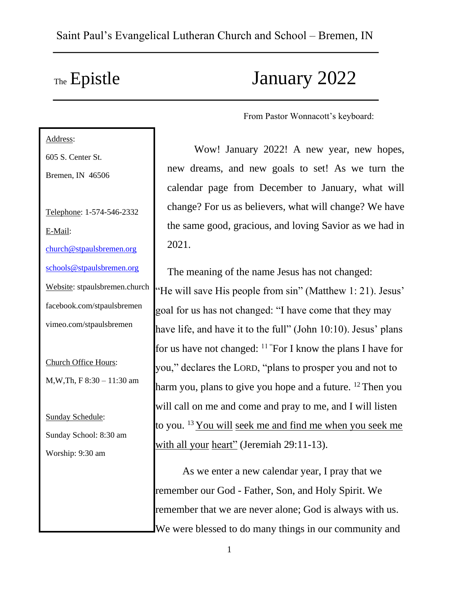# The Epistle January 2022

From Pastor Wonnacott's keyboard:

Address: 605 S. Center St. Bremen, IN 46506 Telephone: 1-574-546-2332 E-Mail: church@stpaulsbremen.org schools@stpaulsbremen.org Website: stpaulsbremen.church facebook.com/stpaulsbremen vimeo.com/stpaulsbremen Church Office Hours: M,W,Th, F 8:30 – 11:30 am Sunday Schedule: Sunday School: 8:30 am Worship: 9:30 am

Wow! January 2022! A new year, new hopes, new dreams, and new goals to set! As we turn the calendar page from December to January, what will change? For us as believers, what will change? We have the same good, gracious, and loving Savior as we had in 2021.

The meaning of the name Jesus has not changed: "He will save His people from sin" (Matthew 1: 21). Jesus' goal for us has not changed: "I have come that they may have life, and have it to the full" (John 10:10). Jesus' plans for us have not changed:  $11$  "For I know the plans I have for you," declares the LORD, "plans to prosper you and not to harm you, plans to give you hope and a future.  $12$  Then you will call on me and come and pray to me, and I will listen to you.  $^{13}$  You will seek me and find me when you seek me with all your heart" (Jeremiah 29:11-13).

As we enter a new calendar year, I pray that we remember our God - Father, Son, and Holy Spirit. We remember that we are never alone; God is always with us. We were blessed to do many things in our community and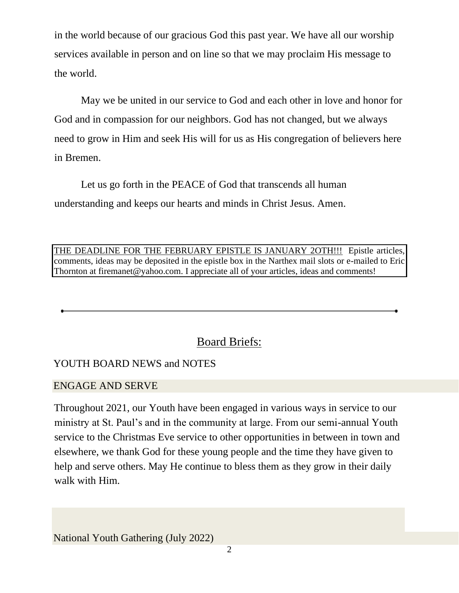in the world because of our gracious God this past year. We have all our worship services available in person and on line so that we may proclaim His message to the world.

May we be united in our service to God and each other in love and honor for God and in compassion for our neighbors. God has not changed, but we always need to grow in Him and seek His will for us as His congregation of believers here in Bremen.

Let us go forth in the PEACE of God that transcends all human understanding and keeps our hearts and minds in Christ Jesus. Amen.

THE DEADLINE FOR THE FEBRUARY EPISTLE IS JANUARY 2OTH!!! Epistle articles, comments, ideas may be deposited in the epistle box in the Narthex mail slots or e-mailed to Eric Thornton at firemanet@yahoo.com. I appreciate all of your articles, ideas and comments!

# Board Briefs:

# YOUTH BOARD NEWS and NOTES

### ENGAGE AND SERVE

Throughout 2021, our Youth have been engaged in various ways in service to our ministry at St. Paul's and in the community at large. From our semi-annual Youth service to the Christmas Eve service to other opportunities in between in town and elsewhere, we thank God for these young people and the time they have given to help and serve others. May He continue to bless them as they grow in their daily walk with Him.

National Youth Gathering (July 2022)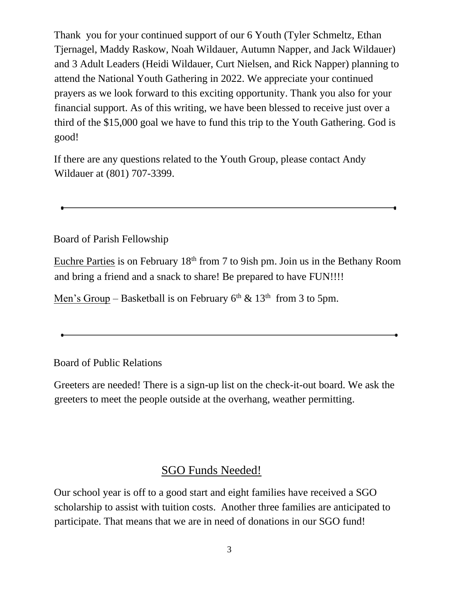Thank you for your continued support of our 6 Youth (Tyler Schmeltz, Ethan Tjernagel, Maddy Raskow, Noah Wildauer, Autumn Napper, and Jack Wildauer) and 3 Adult Leaders (Heidi Wildauer, Curt Nielsen, and Rick Napper) planning to attend the National Youth Gathering in 2022. We appreciate your continued prayers as we look forward to this exciting opportunity. Thank you also for your financial support. As of this writing, we have been blessed to receive just over a third of the \$15,000 goal we have to fund this trip to the Youth Gathering. God is good!

If there are any questions related to the Youth Group, please contact Andy Wildauer at (801) 707-3399.

Board of Parish Fellowship

Euchre Parties is on February 18<sup>th</sup> from 7 to 9ish pm. Join us in the Bethany Room and bring a friend and a snack to share! Be prepared to have FUN!!!!

Men's Group – Basketball is on February  $6<sup>th</sup>$  & 13<sup>th</sup> from 3 to 5pm.

Board of Public Relations

Greeters are needed! There is a sign-up list on the check-it-out board. We ask the greeters to meet the people outside at the overhang, weather permitting.

# SGO Funds Needed!

Our school year is off to a good start and eight families have received a SGO scholarship to assist with tuition costs. Another three families are anticipated to participate. That means that we are in need of donations in our SGO fund!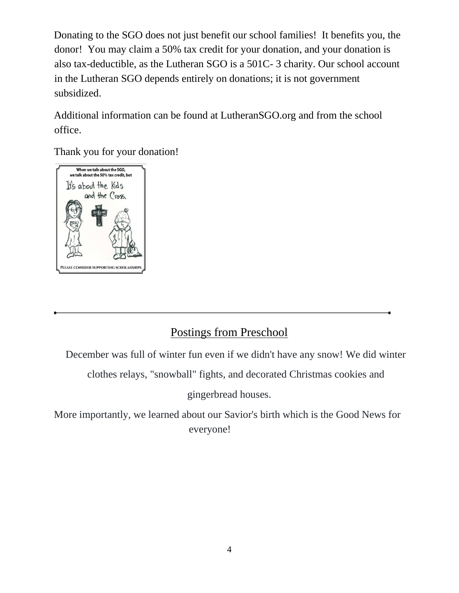Donating to the SGO does not just benefit our school families! It benefits you, the donor! You may claim a 50% tax credit for your donation, and your donation is also tax-deductible, as the Lutheran SGO is a 501C- 3 charity. Our school account in the Lutheran SGO depends entirely on donations; it is not government subsidized.

Additional information can be found at LutheranSGO.org and from the school office.

Thank you for your donation!



# Postings from Preschool

December was full of winter fun even if we didn't have any snow! We did winter

clothes relays, "snowball" fights, and decorated Christmas cookies and

gingerbread houses.

More importantly, we learned about our Savior's birth which is the Good News for everyone!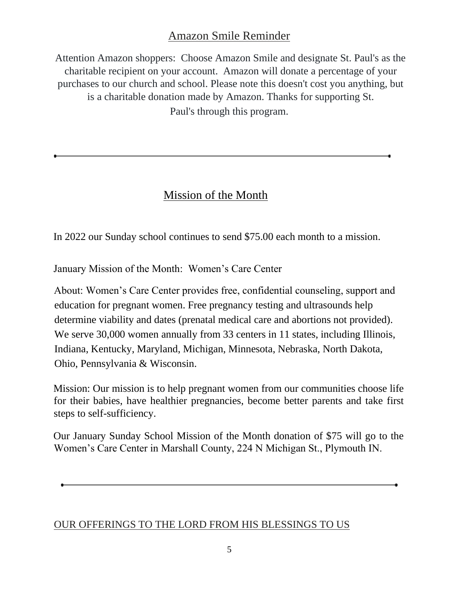# Amazon Smile Reminder

Attention Amazon shoppers: Choose Amazon Smile and designate St. Paul's as the charitable recipient on your account. Amazon will donate a percentage of your purchases to our church and school. Please note this doesn't cost you anything, but is a charitable donation made by Amazon. Thanks for supporting St. Paul's through this program.

# Mission of the Month

In 2022 our Sunday school continues to send \$75.00 each month to a mission.

January Mission of the Month: Women's Care Center

About: Women's Care Center provides free, confidential counseling, support and education for pregnant women. Free pregnancy testing and ultrasounds help determine viability and dates (prenatal medical care and abortions not provided). We serve 30,000 women annually from 33 centers in 11 states, including Illinois, Indiana, Kentucky, Maryland, Michigan, Minnesota, Nebraska, North Dakota, Ohio, Pennsylvania & Wisconsin.

Mission: Our mission is to help pregnant women from our communities choose life for their babies, have healthier pregnancies, become better parents and take first steps to self-sufficiency.

Our January Sunday School Mission of the Month donation of \$75 will go to the Women's Care Center in Marshall County, 224 N Michigan St., Plymouth IN.

# OUR OFFERINGS TO THE LORD FROM HIS BLESSINGS TO US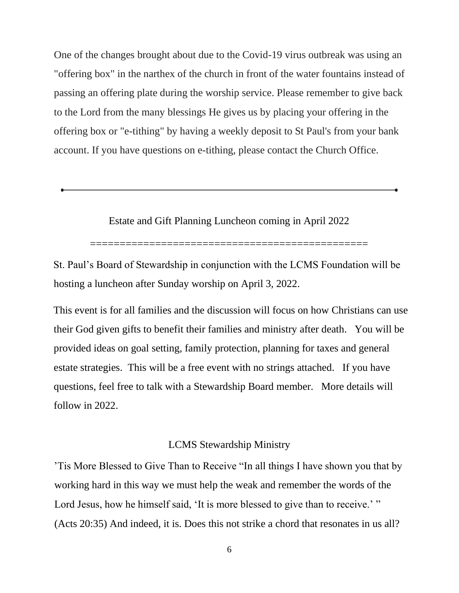One of the changes brought about due to the Covid-19 virus outbreak was using an "offering box" in the narthex of the church in front of the water fountains instead of passing an offering plate during the worship service. Please remember to give back to the Lord from the many blessings He gives us by placing your offering in the offering box or "e-tithing" by having a weekly deposit to St Paul's from your bank account. If you have questions on e-tithing, please contact the Church Office.

Estate and Gift Planning Luncheon coming in April 2022

===============================================

St. Paul's Board of Stewardship in conjunction with the LCMS Foundation will be hosting a luncheon after Sunday worship on April 3, 2022.

This event is for all families and the discussion will focus on how Christians can use their God given gifts to benefit their families and ministry after death. You will be provided ideas on goal setting, family protection, planning for taxes and general estate strategies. This will be a free event with no strings attached. If you have questions, feel free to talk with a Stewardship Board member. More details will follow in 2022.

#### LCMS Stewardship Ministry

'Tis More Blessed to Give Than to Receive "In all things I have shown you that by working hard in this way we must help the weak and remember the words of the Lord Jesus, how he himself said, 'It is more blessed to give than to receive.' " (Acts 20:35) And indeed, it is. Does this not strike a chord that resonates in us all?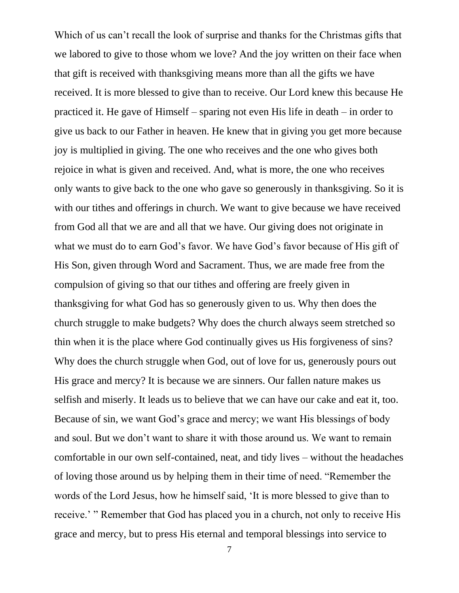Which of us can't recall the look of surprise and thanks for the Christmas gifts that we labored to give to those whom we love? And the joy written on their face when that gift is received with thanksgiving means more than all the gifts we have received. It is more blessed to give than to receive. Our Lord knew this because He practiced it. He gave of Himself – sparing not even His life in death – in order to give us back to our Father in heaven. He knew that in giving you get more because joy is multiplied in giving. The one who receives and the one who gives both rejoice in what is given and received. And, what is more, the one who receives only wants to give back to the one who gave so generously in thanksgiving. So it is with our tithes and offerings in church. We want to give because we have received from God all that we are and all that we have. Our giving does not originate in what we must do to earn God's favor. We have God's favor because of His gift of His Son, given through Word and Sacrament. Thus, we are made free from the compulsion of giving so that our tithes and offering are freely given in thanksgiving for what God has so generously given to us. Why then does the church struggle to make budgets? Why does the church always seem stretched so thin when it is the place where God continually gives us His forgiveness of sins? Why does the church struggle when God, out of love for us, generously pours out His grace and mercy? It is because we are sinners. Our fallen nature makes us selfish and miserly. It leads us to believe that we can have our cake and eat it, too. Because of sin, we want God's grace and mercy; we want His blessings of body and soul. But we don't want to share it with those around us. We want to remain comfortable in our own self-contained, neat, and tidy lives – without the headaches of loving those around us by helping them in their time of need. "Remember the words of the Lord Jesus, how he himself said, 'It is more blessed to give than to receive.' " Remember that God has placed you in a church, not only to receive His grace and mercy, but to press His eternal and temporal blessings into service to

7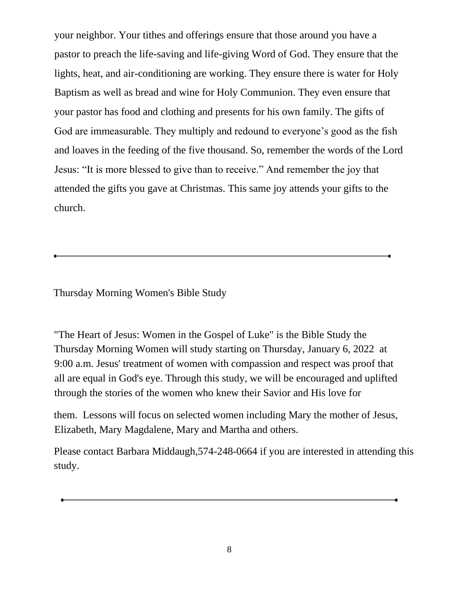your neighbor. Your tithes and offerings ensure that those around you have a pastor to preach the life-saving and life-giving Word of God. They ensure that the lights, heat, and air-conditioning are working. They ensure there is water for Holy Baptism as well as bread and wine for Holy Communion. They even ensure that your pastor has food and clothing and presents for his own family. The gifts of God are immeasurable. They multiply and redound to everyone's good as the fish and loaves in the feeding of the five thousand. So, remember the words of the Lord Jesus: "It is more blessed to give than to receive." And remember the joy that attended the gifts you gave at Christmas. This same joy attends your gifts to the church.

Thursday Morning Women's Bible Study

"The Heart of Jesus: Women in the Gospel of Luke" is the Bible Study the Thursday Morning Women will study starting on Thursday, January 6, 2022 at 9:00 a.m. Jesus' treatment of women with compassion and respect was proof that all are equal in God's eye. Through this study, we will be encouraged and uplifted through the stories of the women who knew their Savior and His love for

them. Lessons will focus on selected women including Mary the mother of Jesus, Elizabeth, Mary Magdalene, Mary and Martha and others.

Please contact Barbara Middaugh,574-248-0664 if you are interested in attending this study.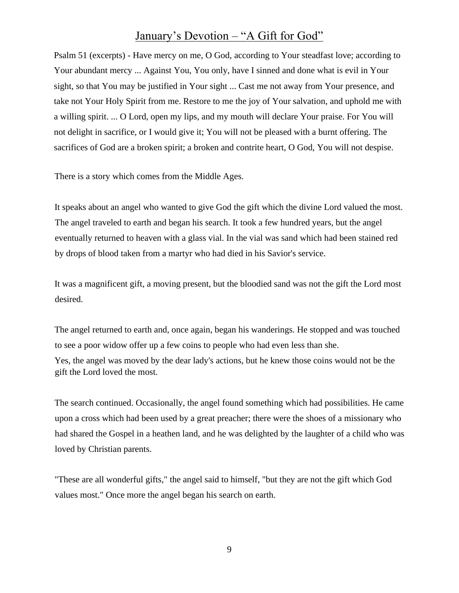# January's Devotion – "A Gift for God"

Psalm 51 (excerpts) - Have mercy on me, O God, according to Your steadfast love; according to Your abundant mercy ... Against You, You only, have I sinned and done what is evil in Your sight, so that You may be justified in Your sight ... Cast me not away from Your presence, and take not Your Holy Spirit from me. Restore to me the joy of Your salvation, and uphold me with a willing spirit. ... O Lord, open my lips, and my mouth will declare Your praise. For You will not delight in sacrifice, or I would give it; You will not be pleased with a burnt offering. The sacrifices of God are a broken spirit; a broken and contrite heart, O God, You will not despise.

There is a story which comes from the Middle Ages.

It speaks about an angel who wanted to give God the gift which the divine Lord valued the most. The angel traveled to earth and began his search. It took a few hundred years, but the angel eventually returned to heaven with a glass vial. In the vial was sand which had been stained red by drops of blood taken from a martyr who had died in his Savior's service.

It was a magnificent gift, a moving present, but the bloodied sand was not the gift the Lord most desired.

The angel returned to earth and, once again, began his wanderings. He stopped and was touched to see a poor widow offer up a few coins to people who had even less than she.

Yes, the angel was moved by the dear lady's actions, but he knew those coins would not be the gift the Lord loved the most.

The search continued. Occasionally, the angel found something which had possibilities. He came upon a cross which had been used by a great preacher; there were the shoes of a missionary who had shared the Gospel in a heathen land, and he was delighted by the laughter of a child who was loved by Christian parents.

"These are all wonderful gifts," the angel said to himself, "but they are not the gift which God values most." Once more the angel began his search on earth.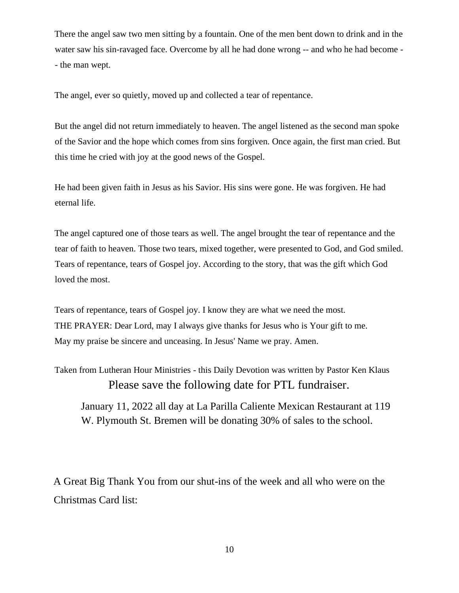There the angel saw two men sitting by a fountain. One of the men bent down to drink and in the water saw his sin-ravaged face. Overcome by all he had done wrong -- and who he had become - - the man wept.

The angel, ever so quietly, moved up and collected a tear of repentance.

But the angel did not return immediately to heaven. The angel listened as the second man spoke of the Savior and the hope which comes from sins forgiven. Once again, the first man cried. But this time he cried with joy at the good news of the Gospel.

He had been given faith in Jesus as his Savior. His sins were gone. He was forgiven. He had eternal life.

The angel captured one of those tears as well. The angel brought the tear of repentance and the tear of faith to heaven. Those two tears, mixed together, were presented to God, and God smiled. Tears of repentance, tears of Gospel joy. According to the story, that was the gift which God loved the most.

Tears of repentance, tears of Gospel joy. I know they are what we need the most. THE PRAYER: Dear Lord, may I always give thanks for Jesus who is Your gift to me. May my praise be sincere and unceasing. In Jesus' Name we pray. Amen.

Taken from Lutheran Hour Ministries - this Daily Devotion was written by Pastor Ken Klaus Please save the following date for PTL fundraiser.

January 11, 2022 all day at La Parilla Caliente Mexican Restaurant at 119 W. Plymouth St. Bremen will be donating 30% of sales to the school.

A Great Big Thank You from our shut-ins of the week and all who were on the Christmas Card list: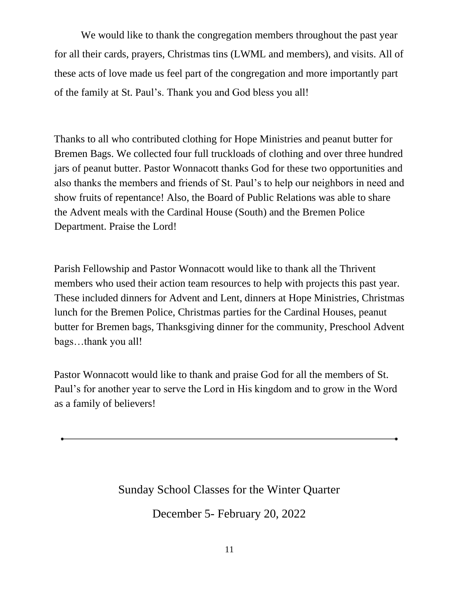We would like to thank the congregation members throughout the past year for all their cards, prayers, Christmas tins (LWML and members), and visits. All of these acts of love made us feel part of the congregation and more importantly part of the family at St. Paul's. Thank you and God bless you all!

Thanks to all who contributed clothing for Hope Ministries and peanut butter for Bremen Bags. We collected four full truckloads of clothing and over three hundred jars of peanut butter. Pastor Wonnacott thanks God for these two opportunities and also thanks the members and friends of St. Paul's to help our neighbors in need and show fruits of repentance! Also, the Board of Public Relations was able to share the Advent meals with the Cardinal House (South) and the Bremen Police Department. Praise the Lord!

Parish Fellowship and Pastor Wonnacott would like to thank all the Thrivent members who used their action team resources to help with projects this past year. These included dinners for Advent and Lent, dinners at Hope Ministries, Christmas lunch for the Bremen Police, Christmas parties for the Cardinal Houses, peanut butter for Bremen bags, Thanksgiving dinner for the community, Preschool Advent bags…thank you all!

Pastor Wonnacott would like to thank and praise God for all the members of St. Paul's for another year to serve the Lord in His kingdom and to grow in the Word as a family of believers!

Sunday School Classes for the Winter Quarter

December 5- February 20, 2022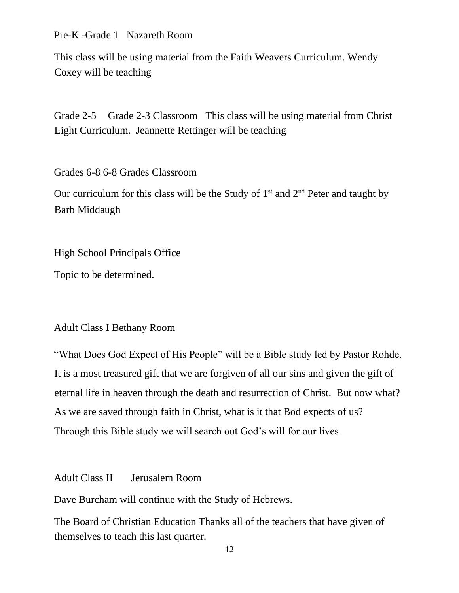Pre-K -Grade 1 Nazareth Room

This class will be using material from the Faith Weavers Curriculum. Wendy Coxey will be teaching

Grade 2-5 Grade 2-3 Classroom This class will be using material from Christ Light Curriculum. Jeannette Rettinger will be teaching

Grades 6-8 6-8 Grades Classroom

Our curriculum for this class will be the Study of  $1<sup>st</sup>$  and  $2<sup>nd</sup>$  Peter and taught by Barb Middaugh

High School Principals Office

Topic to be determined.

#### Adult Class I Bethany Room

"What Does God Expect of His People" will be a Bible study led by Pastor Rohde. It is a most treasured gift that we are forgiven of all our sins and given the gift of eternal life in heaven through the death and resurrection of Christ. But now what? As we are saved through faith in Christ, what is it that Bod expects of us? Through this Bible study we will search out God's will for our lives.

Adult Class II Jerusalem Room

Dave Burcham will continue with the Study of Hebrews.

The Board of Christian Education Thanks all of the teachers that have given of themselves to teach this last quarter.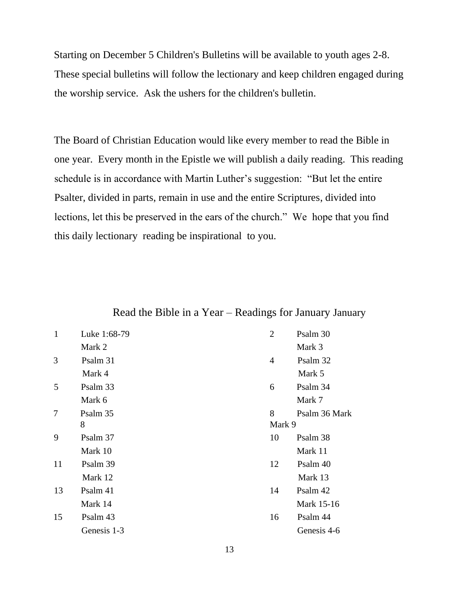Starting on December 5 Children's Bulletins will be available to youth ages 2-8. These special bulletins will follow the lectionary and keep children engaged during the worship service. Ask the ushers for the children's bulletin.

The Board of Christian Education would like every member to read the Bible in one year. Every month in the Epistle we will publish a daily reading. This reading schedule is in accordance with Martin Luther's suggestion: "But let the entire Psalter, divided in parts, remain in use and the entire Scriptures, divided into lections, let this be preserved in the ears of the church." We hope that you find this daily lectionary reading be inspirational to you.

#### Read the Bible in a Year – Readings for January January

| 1  | Luke 1:68-79 | $\overline{2}$ | Psalm 30      |
|----|--------------|----------------|---------------|
|    | Mark 2       |                | Mark 3        |
| 3  | Psalm 31     | $\overline{4}$ | Psalm 32      |
|    | Mark 4       |                | Mark 5        |
| 5  | Psalm 33     | 6              | Psalm 34      |
|    | Mark 6       |                | Mark 7        |
| 7  | Psalm 35     | 8              | Psalm 36 Mark |
|    | 8            | Mark 9         |               |
| 9  | Psalm 37     | 10             | Psalm 38      |
|    | Mark 10      |                | Mark 11       |
| 11 | Psalm 39     | 12             | Psalm 40      |
|    | Mark 12      |                | Mark 13       |
| 13 | Psalm 41     | 14             | Psalm 42      |
|    | Mark 14      |                | Mark 15-16    |
| 15 | Psalm 43     | 16             | Psalm 44      |
|    | Genesis 1-3  |                | Genesis 4-6   |
|    |              |                |               |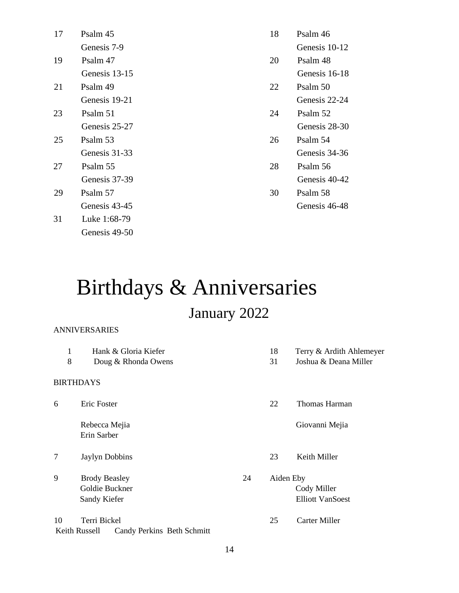| 17 | Psalm 45      | 18 | Psalm 46      |
|----|---------------|----|---------------|
|    | Genesis 7-9   |    | Genesis 10-12 |
| 19 | Psalm 47      | 20 | Psalm 48      |
|    | Genesis 13-15 |    | Genesis 16-18 |
| 21 | Psalm 49      | 22 | Psalm 50      |
|    | Genesis 19-21 |    | Genesis 22-24 |
| 23 | Psalm 51      | 24 | Psalm 52      |
|    | Genesis 25-27 |    | Genesis 28-30 |
| 25 | Psalm 53      | 26 | Psalm 54      |
|    | Genesis 31-33 |    | Genesis 34-36 |
| 27 | Psalm 55      | 28 | Psalm 56      |
|    | Genesis 37-39 |    | Genesis 40-42 |
| 29 | Psalm 57      | 30 | Psalm 58      |
|    | Genesis 43-45 |    | Genesis 46-48 |
| 31 | Luke 1:68-79  |    |               |

# Birthdays & Anniversaries January 2022

#### ANNIVERSARIES

Genesis 49-50

| 1                | Hank & Gloria Kiefer       |  | 18        | Terry & Ardith Ahlemeyer |
|------------------|----------------------------|--|-----------|--------------------------|
| 8                | Doug & Rhonda Owens        |  | 31        | Joshua & Deana Miller    |
|                  |                            |  |           |                          |
| <b>BIRTHDAYS</b> |                            |  |           |                          |
| 6                | Eric Foster                |  | 22        | Thomas Harman            |
|                  | Rebecca Mejia              |  |           | Giovanni Mejia           |
|                  | Erin Sarber                |  |           |                          |
| 7                | Jaylyn Dobbins             |  | 23        | Keith Miller             |
| 9                | <b>Brody Beasley</b><br>24 |  | Aiden Eby |                          |
|                  | Goldie Buckner             |  |           | Cody Miller              |
|                  | Sandy Kiefer               |  |           | <b>Elliott VanSoest</b>  |
| 10               | Terri Bickel               |  |           | <b>Carter Miller</b>     |
| Keith Russell    | Candy Perkins Beth Schmitt |  |           |                          |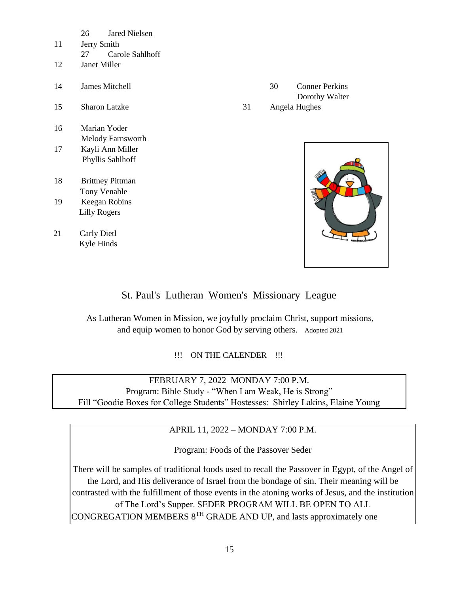|    | <b>Jared Nielsen</b><br>26 |    |    |                       |
|----|----------------------------|----|----|-----------------------|
| 11 | Jerry Smith                |    |    |                       |
|    | Carole Sahlhoff<br>27      |    |    |                       |
| 12 | Janet Miller               |    |    |                       |
| 14 | James Mitchell             |    | 30 | <b>Conner Perkins</b> |
|    |                            |    |    | Dorothy Walter        |
| 15 | <b>Sharon Latzke</b>       | 31 |    | Angela Hughes         |
|    |                            |    |    |                       |
| 16 | Marian Yoder               |    |    |                       |
|    | Melody Farnsworth          |    |    |                       |
| 17 | Kayli Ann Miller           |    |    |                       |
|    | Phyllis Sahlhoff           |    |    |                       |
|    |                            |    |    |                       |
| 18 | <b>Brittney Pittman</b>    |    |    |                       |
|    | Tony Venable               |    |    |                       |
| 19 | Keegan Robins              |    |    |                       |
|    | <b>Lilly Rogers</b>        |    |    |                       |
|    |                            |    |    |                       |
| 21 | Carly Dietl                |    |    |                       |
|    | Kyle Hinds                 |    |    |                       |



### St. Paul's Lutheran Women's Missionary League

As Lutheran Women in Mission, we joyfully proclaim Christ, support missions, and equip women to honor God by serving others. Adopted 2021

!!! ON THE CALENDER !!!

FEBRUARY 7, 2022 MONDAY 7:00 P.M. Program: Bible Study - "When I am Weak, He is Strong" Fill "Goodie Boxes for College Students" Hostesses: Shirley Lakins, Elaine Young

APRIL 11, 2022 – MONDAY 7:00 P.M.

Program: Foods of the Passover Seder

There will be samples of traditional foods used to recall the Passover in Egypt, of the Angel of the Lord, and His deliverance of Israel from the bondage of sin. Their meaning will be contrasted with the fulfillment of those events in the atoning works of Jesus, and the institution of The Lord's Supper. SEDER PROGRAM WILL BE OPEN TO ALL CONGREGATION MEMBERS 8TH GRADE AND UP, and lasts approximately one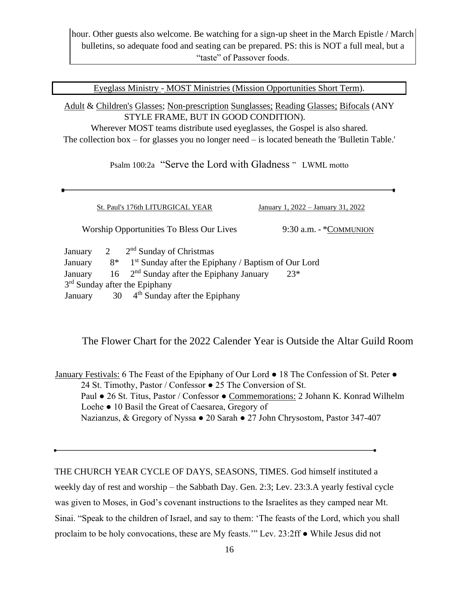hour. Other guests also welcome. Be watching for a sign-up sheet in the March Epistle / March bulletins, so adequate food and seating can be prepared. PS: this is NOT a full meal, but a "taste" of Passover foods.

Eyeglass Ministry - MOST Ministries (Mission Opportunities Short Term).

Adult & Children's Glasses; Non-prescription Sunglasses; Reading Glasses; Bifocals (ANY STYLE FRAME, BUT IN GOOD CONDITION). Wherever MOST teams distribute used eyeglasses, the Gospel is also shared.

The collection box – for glasses you no longer need – is located beneath the 'Bulletin Table.'

Psalm 100:2a "Serve the Lord with Gladness " LWML motto

|                                                                             |  | St. Paul's 176th LITURGICAL YEAR                                      | January 1, 2022 – January 31, 2022 |
|-----------------------------------------------------------------------------|--|-----------------------------------------------------------------------|------------------------------------|
| <b>Worship Opportunities To Bless Our Lives</b><br>$9:30$ a.m. - *COMMUNION |  |                                                                       |                                    |
| January                                                                     |  | $2^{nd}$ Sunday of Christmas                                          |                                    |
| January                                                                     |  | $8^*$ 1 <sup>st</sup> Sunday after the Epiphany / Baptism of Our Lord |                                    |
| January                                                                     |  | $16$ $2nd$ Sunday after the Epiphany January                          | $23*$                              |
| 3 <sup>rd</sup> Sunday after the Epiphany                                   |  |                                                                       |                                    |
| January                                                                     |  | $30 \,$ 4 <sup>th</sup> Sunday after the Epiphany                     |                                    |

The Flower Chart for the 2022 Calender Year is Outside the Altar Guild Room

January Festivals: 6 The Feast of the Epiphany of Our Lord ● 18 The Confession of St. Peter ● 24 St. Timothy, Pastor / Confessor ● 25 The Conversion of St. Paul ● 26 St. Titus, Pastor / Confessor ● Commemorations: 2 Johann K. Konrad Wilhelm Loehe ● 10 Basil the Great of Caesarea, Gregory of Nazianzus, & Gregory of Nyssa ● 20 Sarah ● 27 John Chrysostom, Pastor 347-407

THE CHURCH YEAR CYCLE OF DAYS, SEASONS, TIMES. God himself instituted a weekly day of rest and worship – the Sabbath Day. Gen. 2:3; Lev. 23:3.A yearly festival cycle was given to Moses, in God's covenant instructions to the Israelites as they camped near Mt. Sinai. "Speak to the children of Israel, and say to them: 'The feasts of the Lord, which you shall proclaim to be holy convocations, these are My feasts.'" Lev. 23:2ff ● While Jesus did not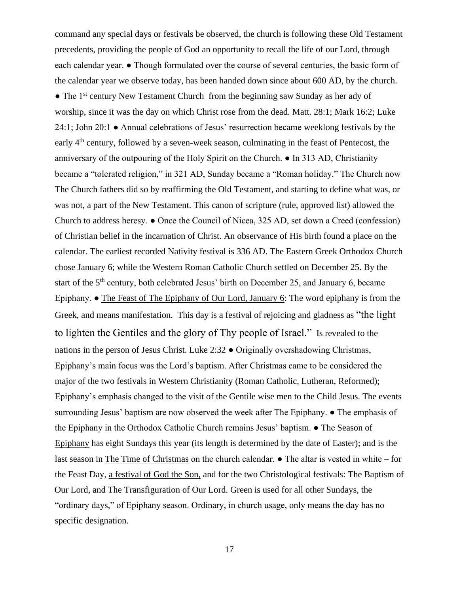command any special days or festivals be observed, the church is following these Old Testament precedents, providing the people of God an opportunity to recall the life of our Lord, through each calendar year. ● Though formulated over the course of several centuries, the basic form of the calendar year we observe today, has been handed down since about 600 AD, by the church. • The 1<sup>st</sup> century New Testament Church from the beginning saw Sunday as her ady of worship, since it was the day on which Christ rose from the dead. Matt. 28:1; Mark 16:2; Luke 24:1; John 20:1 ● Annual celebrations of Jesus' resurrection became weeklong festivals by the early 4<sup>th</sup> century, followed by a seven-week season, culminating in the feast of Pentecost, the anniversary of the outpouring of the Holy Spirit on the Church. ● In 313 AD, Christianity became a "tolerated religion," in 321 AD, Sunday became a "Roman holiday." The Church now The Church fathers did so by reaffirming the Old Testament, and starting to define what was, or was not, a part of the New Testament. This canon of scripture (rule, approved list) allowed the Church to address heresy. ● Once the Council of Nicea, 325 AD, set down a Creed (confession) of Christian belief in the incarnation of Christ. An observance of His birth found a place on the calendar. The earliest recorded Nativity festival is 336 AD. The Eastern Greek Orthodox Church chose January 6; while the Western Roman Catholic Church settled on December 25. By the start of the 5<sup>th</sup> century, both celebrated Jesus' birth on December 25, and January 6, became Epiphany. ● The Feast of The Epiphany of Our Lord, January 6: The word epiphany is from the Greek, and means manifestation. This day is a festival of rejoicing and gladness as "the light to lighten the Gentiles and the glory of Thy people of Israel." Is revealed to the nations in the person of Jesus Christ. Luke 2:32 ● Originally overshadowing Christmas, Epiphany's main focus was the Lord's baptism. After Christmas came to be considered the major of the two festivals in Western Christianity (Roman Catholic, Lutheran, Reformed); Epiphany's emphasis changed to the visit of the Gentile wise men to the Child Jesus. The events surrounding Jesus' baptism are now observed the week after The Epiphany.  $\bullet$  The emphasis of the Epiphany in the Orthodox Catholic Church remains Jesus' baptism. ● The Season of Epiphany has eight Sundays this year (its length is determined by the date of Easter); and is the last season in The Time of Christmas on the church calendar. ● The altar is vested in white – for the Feast Day, a festival of God the Son, and for the two Christological festivals: The Baptism of Our Lord, and The Transfiguration of Our Lord. Green is used for all other Sundays, the "ordinary days," of Epiphany season. Ordinary, in church usage, only means the day has no specific designation.

17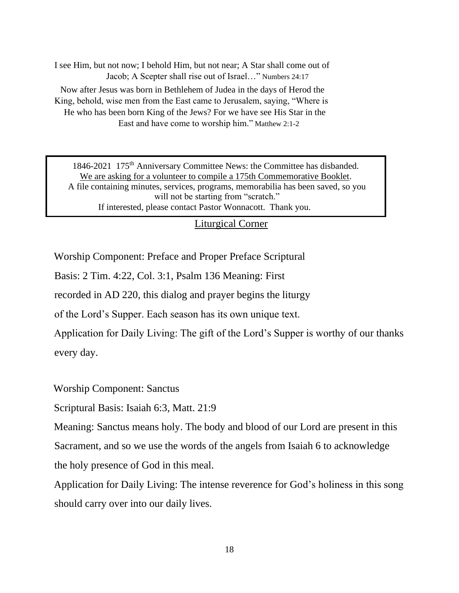I see Him, but not now; I behold Him, but not near; A Star shall come out of Jacob; A Scepter shall rise out of Israel…" Numbers 24:17 Now after Jesus was born in Bethlehem of Judea in the days of Herod the King, behold, wise men from the East came to Jerusalem, saying, "Where is He who has been born King of the Jews? For we have see His Star in the East and have come to worship him." Matthew 2:1-2

1846-2021 175<sup>th</sup> Anniversary Committee News: the Committee has disbanded. We are asking for a volunteer to compile a 175th Commemorative Booklet. A file containing minutes, services, programs, memorabilia has been saved, so you will not be starting from "scratch." If interested, please contact Pastor Wonnacott. Thank you.

#### Liturgical Corner

Worship Component: Preface and Proper Preface Scriptural

Basis: 2 Tim. 4:22, Col. 3:1, Psalm 136 Meaning: First

recorded in AD 220, this dialog and prayer begins the liturgy

of the Lord's Supper. Each season has its own unique text.

Application for Daily Living: The gift of the Lord's Supper is worthy of our thanks every day.

Worship Component: Sanctus

Scriptural Basis: Isaiah 6:3, Matt. 21:9

Meaning: Sanctus means holy. The body and blood of our Lord are present in this

Sacrament, and so we use the words of the angels from Isaiah 6 to acknowledge

the holy presence of God in this meal.

Application for Daily Living: The intense reverence for God's holiness in this song should carry over into our daily lives.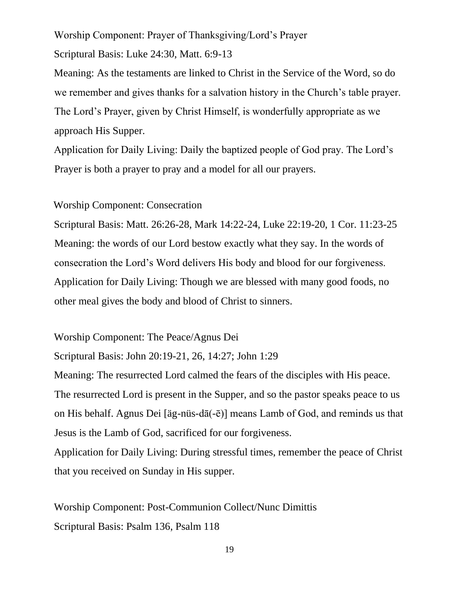Worship Component: Prayer of Thanksgiving/Lord's Prayer

Scriptural Basis: Luke 24:30, Matt. 6:9-13

Meaning: As the testaments are linked to Christ in the Service of the Word, so do we remember and gives thanks for a salvation history in the Church's table prayer. The Lord's Prayer, given by Christ Himself, is wonderfully appropriate as we approach His Supper.

Application for Daily Living: Daily the baptized people of God pray. The Lord's Prayer is both a prayer to pray and a model for all our prayers.

#### Worship Component: Consecration

Scriptural Basis: Matt. 26:26-28, Mark 14:22-24, Luke 22:19-20, 1 Cor. 11:23-25 Meaning: the words of our Lord bestow exactly what they say. In the words of consecration the Lord's Word delivers His body and blood for our forgiveness. Application for Daily Living: Though we are blessed with many good foods, no other meal gives the body and blood of Christ to sinners.

Worship Component: The Peace/Agnus Dei

Scriptural Basis: John 20:19-21, 26, 14:27; John 1:29

Meaning: The resurrected Lord calmed the fears of the disciples with His peace. The resurrected Lord is present in the Supper, and so the pastor speaks peace to us on His behalf. Agnus Dei [äg-nüs-dā(-ē)] means Lamb of God, and reminds us that Jesus is the Lamb of God, sacrificed for our forgiveness.

Application for Daily Living: During stressful times, remember the peace of Christ that you received on Sunday in His supper.

Worship Component: Post-Communion Collect/Nunc Dimittis Scriptural Basis: Psalm 136, Psalm 118